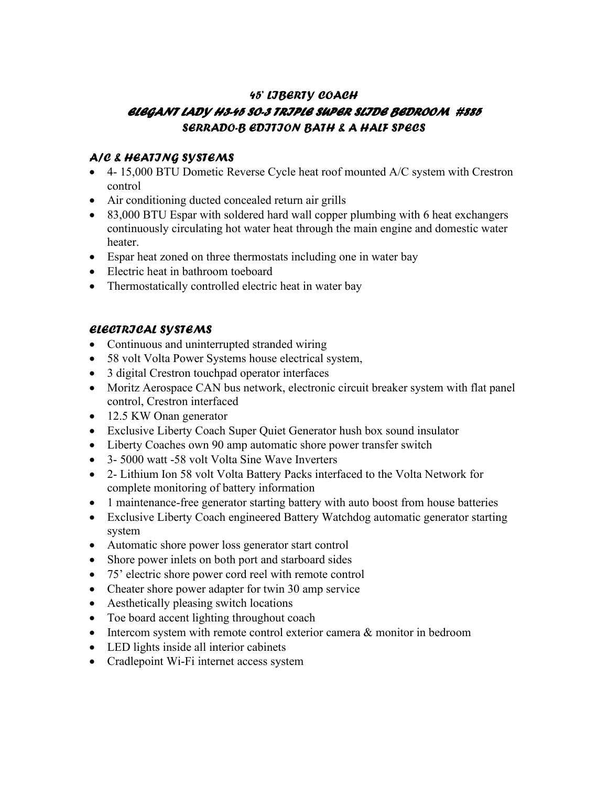# *45' LIBERTY COACH ELEGANT LADY H3-45 SO-3 TRIPLE SUPER SLIDE BEDROOM #885 SERRADO-B EDITION BATH & A HALF SPECS*

#### *A/C & HEATING SYSTEMS*

- 4- 15,000 BTU Dometic Reverse Cycle heat roof mounted A/C system with Crestron control
- Air conditioning ducted concealed return air grills
- 83,000 BTU Espar with soldered hard wall copper plumbing with 6 heat exchangers continuously circulating hot water heat through the main engine and domestic water heater.
- Espar heat zoned on three thermostats including one in water bay
- Electric heat in bathroom toeboard
- Thermostatically controlled electric heat in water bay

## *ELECTRICAL SYSTEMS*

- Continuous and uninterrupted stranded wiring
- 58 volt Volta Power Systems house electrical system,
- 3 digital Crestron touchpad operator interfaces
- Moritz Aerospace CAN bus network, electronic circuit breaker system with flat panel control, Crestron interfaced
- 12.5 KW Onan generator
- Exclusive Liberty Coach Super Quiet Generator hush box sound insulator
- Liberty Coaches own 90 amp automatic shore power transfer switch
- 3- 5000 watt -58 volt Volta Sine Wave Inverters
- 2- Lithium Ion 58 volt Volta Battery Packs interfaced to the Volta Network for complete monitoring of battery information
- 1 maintenance-free generator starting battery with auto boost from house batteries
- Exclusive Liberty Coach engineered Battery Watchdog automatic generator starting system
- Automatic shore power loss generator start control
- Shore power inlets on both port and starboard sides
- 75' electric shore power cord reel with remote control
- Cheater shore power adapter for twin 30 amp service
- Aesthetically pleasing switch locations
- Toe board accent lighting throughout coach
- Intercom system with remote control exterior camera & monitor in bedroom
- LED lights inside all interior cabinets
- Cradlepoint Wi-Fi internet access system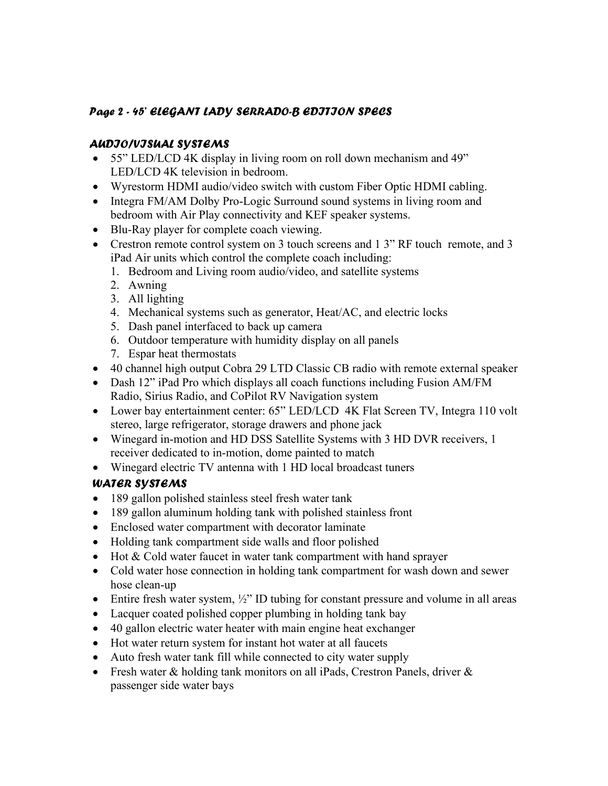### *Page 2 - 45' ELEGANT LADY SERRADO-B EDITION SPECS*

### *AUDIO/VISUAL SYSTEMS*

- 55" LED/LCD 4K display in living room on roll down mechanism and 49" LED/LCD 4K television in bedroom.
- Wyrestorm HDMI audio/video switch with custom Fiber Optic HDMI cabling.
- Integra FM/AM Dolby Pro-Logic Surround sound systems in living room and bedroom with Air Play connectivity and KEF speaker systems.
- Blu-Ray player for complete coach viewing.
- Crestron remote control system on 3 touch screens and 1 3" RF touch remote, and 3 iPad Air units which control the complete coach including:
	- 1. Bedroom and Living room audio/video, and satellite systems
	- 2. Awning
	- 3. All lighting
	- 4. Mechanical systems such as generator, Heat/AC, and electric locks
	- 5. Dash panel interfaced to back up camera
	- 6. Outdoor temperature with humidity display on all panels
	- 7. Espar heat thermostats
- 40 channel high output Cobra 29 LTD Classic CB radio with remote external speaker
- Dash 12" iPad Pro which displays all coach functions including Fusion AM/FM Radio, Sirius Radio, and CoPilot RV Navigation system
- Lower bay entertainment center: 65" LED/LCD 4K Flat Screen TV, Integra 110 volt stereo, large refrigerator, storage drawers and phone jack
- Winegard in-motion and HD DSS Satellite Systems with 3 HD DVR receivers, 1 receiver dedicated to in-motion, dome painted to match
- Winegard electric TV antenna with 1 HD local broadcast tuners

## *WATER SYSTEMS*

- 189 gallon polished stainless steel fresh water tank
- 189 gallon aluminum holding tank with polished stainless front
- Enclosed water compartment with decorator laminate
- Holding tank compartment side walls and floor polished
- Hot & Cold water faucet in water tank compartment with hand sprayer
- Cold water hose connection in holding tank compartment for wash down and sewer hose clean-up
- Entire fresh water system,  $\frac{1}{2}$ " ID tubing for constant pressure and volume in all areas
- Lacquer coated polished copper plumbing in holding tank bay
- 40 gallon electric water heater with main engine heat exchanger
- Hot water return system for instant hot water at all faucets
- Auto fresh water tank fill while connected to city water supply
- Fresh water & holding tank monitors on all iPads, Crestron Panels, driver & passenger side water bays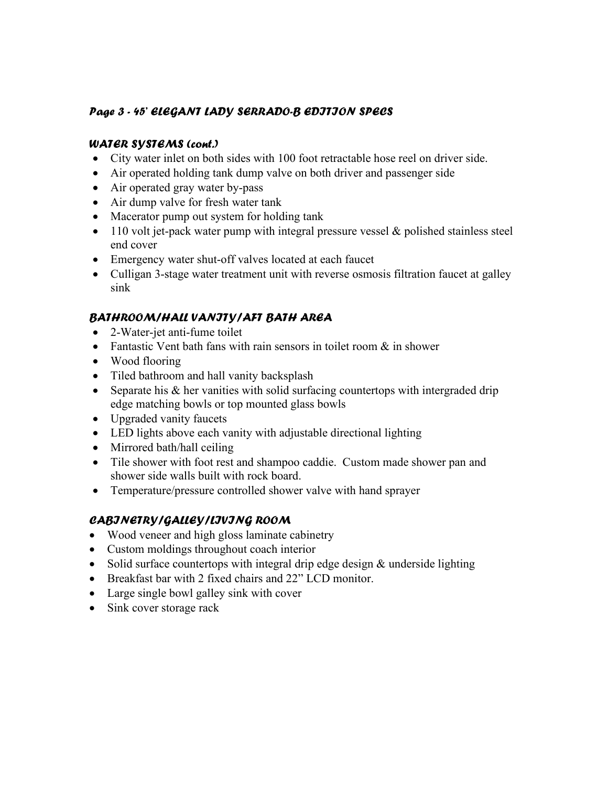### *Page 3 - 45' ELEGANT LADY SERRADO-B EDITION SPECS*

#### *WATER SYSTEMS (cont.)*

- City water inlet on both sides with 100 foot retractable hose reel on driver side.
- Air operated holding tank dump valve on both driver and passenger side
- Air operated gray water by-pass
- Air dump valve for fresh water tank
- Macerator pump out system for holding tank
- $\bullet$  110 volt jet-pack water pump with integral pressure vessel & polished stainless steel end cover
- Emergency water shut-off valves located at each faucet
- Culligan 3-stage water treatment unit with reverse osmosis filtration faucet at galley sink

### *BATHROOM/HALL VANITY/AFT BATH AREA*

- 2-Water-jet anti-fume toilet
- Fantastic Vent bath fans with rain sensors in toilet room  $\&$  in shower
- Wood flooring
- Tiled bathroom and hall vanity backsplash
- Separate his & her vanities with solid surfacing countertops with intergraded drip edge matching bowls or top mounted glass bowls
- Upgraded vanity faucets
- LED lights above each vanity with adjustable directional lighting
- Mirrored bath/hall ceiling
- Tile shower with foot rest and shampoo caddie. Custom made shower pan and shower side walls built with rock board.
- Temperature/pressure controlled shower valve with hand sprayer

## *CABINETRY/GALLEY/LIVING ROOM*

- Wood veneer and high gloss laminate cabinetry
- Custom moldings throughout coach interior
- Solid surface countertops with integral drip edge design & underside lighting
- Breakfast bar with 2 fixed chairs and 22" LCD monitor.
- Large single bowl galley sink with cover
- Sink cover storage rack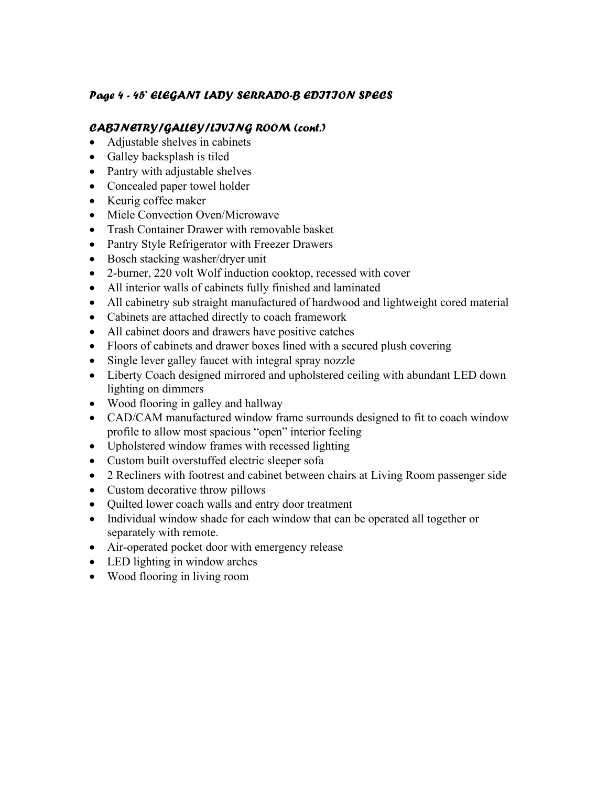### *Page 4 - 45' ELEGANT LADY SERRADO-B EDITION SPECS*

#### *CABINETRY/GALLEY/LIVING ROOM (cont.)*

- Adjustable shelves in cabinets
- Galley backsplash is tiled
- Pantry with adjustable shelves
- Concealed paper towel holder
- Keurig coffee maker
- Miele Convection Oven/Microwave
- Trash Container Drawer with removable basket
- Pantry Style Refrigerator with Freezer Drawers
- Bosch stacking washer/dryer unit
- 2-burner, 220 volt Wolf induction cooktop, recessed with cover
- All interior walls of cabinets fully finished and laminated
- All cabinetry sub straight manufactured of hardwood and lightweight cored material
- Cabinets are attached directly to coach framework
- All cabinet doors and drawers have positive catches
- Floors of cabinets and drawer boxes lined with a secured plush covering
- Single lever galley faucet with integral spray nozzle
- Liberty Coach designed mirrored and upholstered ceiling with abundant LED down lighting on dimmers
- Wood flooring in galley and hallway
- CAD/CAM manufactured window frame surrounds designed to fit to coach window profile to allow most spacious "open" interior feeling
- Upholstered window frames with recessed lighting
- Custom built overstuffed electric sleeper sofa
- 2 Recliners with footrest and cabinet between chairs at Living Room passenger side
- Custom decorative throw pillows
- Quilted lower coach walls and entry door treatment
- Individual window shade for each window that can be operated all together or separately with remote.
- Air-operated pocket door with emergency release
- LED lighting in window arches
- Wood flooring in living room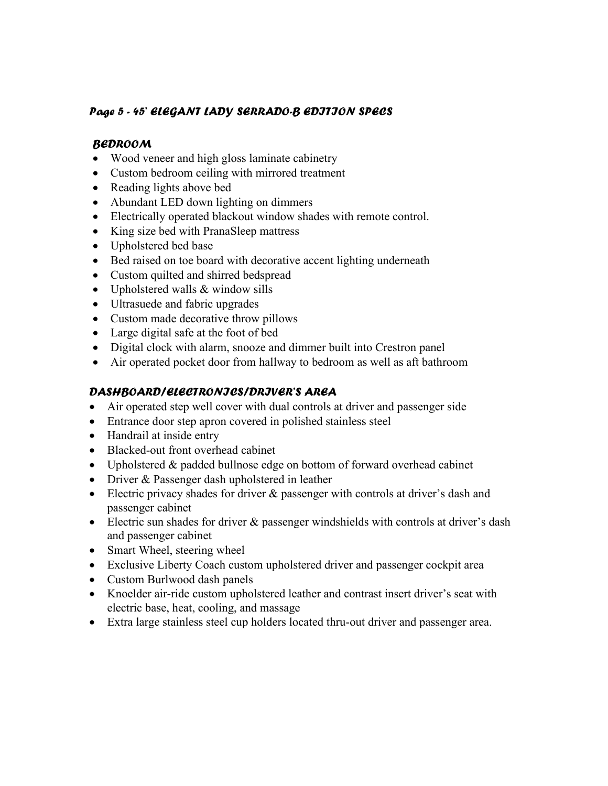### *Page 5 - 45' ELEGANT LADY SERRADO-B EDITION SPECS*

#### *BEDROOM*

- Wood veneer and high gloss laminate cabinetry
- Custom bedroom ceiling with mirrored treatment
- Reading lights above bed
- Abundant LED down lighting on dimmers
- Electrically operated blackout window shades with remote control.
- King size bed with PranaSleep mattress
- Upholstered bed base
- Bed raised on toe board with decorative accent lighting underneath
- Custom quilted and shirred bedspread
- Upholstered walls & window sills
- Ultrasuede and fabric upgrades
- Custom made decorative throw pillows
- Large digital safe at the foot of bed
- Digital clock with alarm, snooze and dimmer built into Crestron panel
- Air operated pocket door from hallway to bedroom as well as aft bathroom

### *DASHBOARD/ELECTRONICS/DRIVER'S AREA*

- Air operated step well cover with dual controls at driver and passenger side
- Entrance door step apron covered in polished stainless steel
- Handrail at inside entry
- Blacked-out front overhead cabinet
- Upholstered & padded bullnose edge on bottom of forward overhead cabinet
- Driver & Passenger dash upholstered in leather
- Electric privacy shades for driver & passenger with controls at driver's dash and passenger cabinet
- Electric sun shades for driver & passenger windshields with controls at driver's dash and passenger cabinet
- Smart Wheel, steering wheel
- Exclusive Liberty Coach custom upholstered driver and passenger cockpit area
- Custom Burlwood dash panels
- Knoelder air-ride custom upholstered leather and contrast insert driver's seat with electric base, heat, cooling, and massage
- Extra large stainless steel cup holders located thru-out driver and passenger area.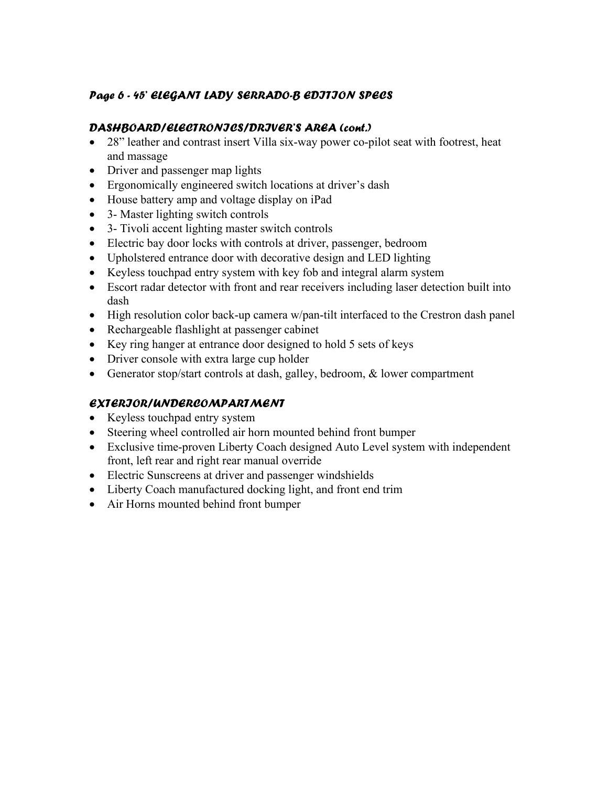## *Page 6 - 45' ELEGANT LADY SERRADO-B EDITION SPECS*

#### *DASHBOARD/ELECTRONICS/DRIVER'S AREA (cont.)*

- 28" leather and contrast insert Villa six-way power co-pilot seat with footrest, heat and massage
- Driver and passenger map lights
- Ergonomically engineered switch locations at driver's dash
- House battery amp and voltage display on iPad
- 3- Master lighting switch controls
- 3- Tivoli accent lighting master switch controls
- Electric bay door locks with controls at driver, passenger, bedroom
- Upholstered entrance door with decorative design and LED lighting
- Keyless touchpad entry system with key fob and integral alarm system
- Escort radar detector with front and rear receivers including laser detection built into dash
- High resolution color back-up camera w/pan-tilt interfaced to the Crestron dash panel
- Rechargeable flashlight at passenger cabinet
- Key ring hanger at entrance door designed to hold 5 sets of keys
- Driver console with extra large cup holder
- Generator stop/start controls at dash, galley, bedroom, & lower compartment

## *EXTERIOR/UNDERCOMPARTMENT*

- Keyless touchpad entry system
- Steering wheel controlled air horn mounted behind front bumper
- Exclusive time-proven Liberty Coach designed Auto Level system with independent front, left rear and right rear manual override
- Electric Sunscreens at driver and passenger windshields
- Liberty Coach manufactured docking light, and front end trim
- Air Horns mounted behind front bumper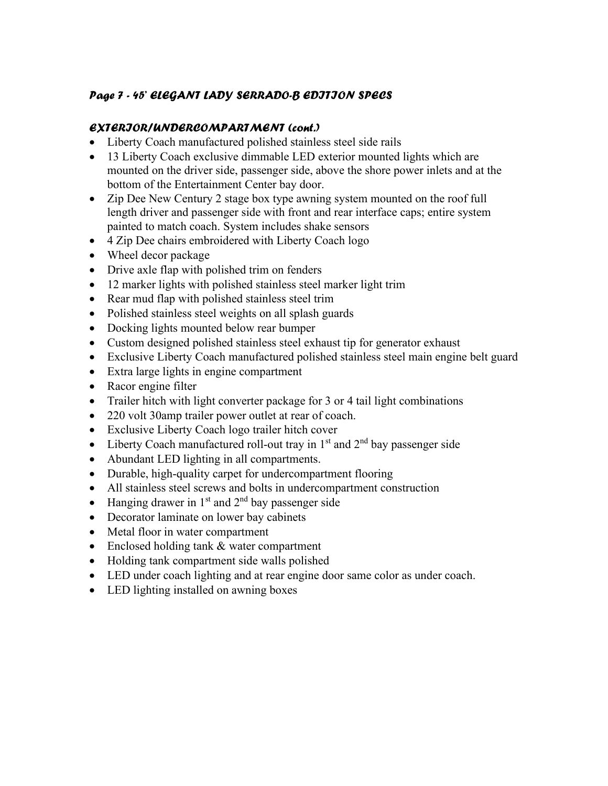### *Page 7 - 45' ELEGANT LADY SERRADO-B EDITION SPECS*

#### *EXTERIOR/UNDERCOMPARTMENT (cont.)*

- Liberty Coach manufactured polished stainless steel side rails
- 13 Liberty Coach exclusive dimmable LED exterior mounted lights which are mounted on the driver side, passenger side, above the shore power inlets and at the bottom of the Entertainment Center bay door.
- Zip Dee New Century 2 stage box type awning system mounted on the roof full length driver and passenger side with front and rear interface caps; entire system painted to match coach. System includes shake sensors
- 4 Zip Dee chairs embroidered with Liberty Coach logo
- Wheel decor package
- Drive axle flap with polished trim on fenders
- 12 marker lights with polished stainless steel marker light trim
- Rear mud flap with polished stainless steel trim
- Polished stainless steel weights on all splash guards
- Docking lights mounted below rear bumper
- Custom designed polished stainless steel exhaust tip for generator exhaust
- Exclusive Liberty Coach manufactured polished stainless steel main engine belt guard
- Extra large lights in engine compartment
- Racor engine filter
- Trailer hitch with light converter package for 3 or 4 tail light combinations
- 220 volt 30 amp trailer power outlet at rear of coach.
- Exclusive Liberty Coach logo trailer hitch cover
- Liberty Coach manufactured roll-out tray in  $1<sup>st</sup>$  and  $2<sup>nd</sup>$  bay passenger side
- Abundant LED lighting in all compartments.
- Durable, high-quality carpet for undercompartment flooring
- All stainless steel screws and bolts in undercompartment construction
- Hanging drawer in  $1<sup>st</sup>$  and  $2<sup>nd</sup>$  bay passenger side
- Decorator laminate on lower bay cabinets
- Metal floor in water compartment
- Enclosed holding tank & water compartment
- Holding tank compartment side walls polished
- LED under coach lighting and at rear engine door same color as under coach.
- LED lighting installed on awning boxes